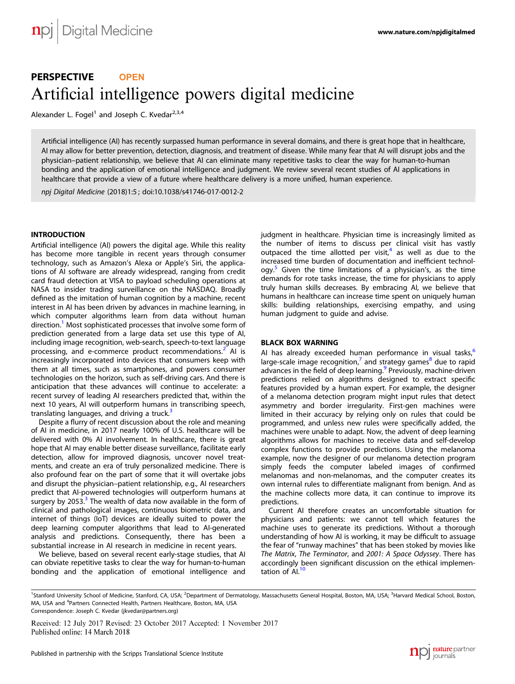# PERSPECTIVE **OPEN** Artificial intelligence powers digital medicine

Alexander L. Fogel<sup>1</sup> and Joseph C. Kvedar<sup>2,3,4</sup>

Artificial intelligence (AI) has recently surpassed human performance in several domains, and there is great hope that in healthcare, AI may allow for better prevention, detection, diagnosis, and treatment of disease. While many fear that AI will disrupt jobs and the physician–patient relationship, we believe that AI can eliminate many repetitive tasks to clear the way for human-to-human bonding and the application of emotional intelligence and judgment. We review several recent studies of AI applications in healthcare that provide a view of a future where healthcare delivery is a more unified, human experience.

npj Digital Medicine (2018)1:5 ; doi:10.1038/s417[46-017-0012-2](https://doi.org/10.1038/s41746-017-0012-2)

# **INTRODUCTION**

Artificial intelligence (AI) powers the digital age. While this reality has become more tangible in recent years through consumer technology, such as Amazon's Alexa or Apple's Siri, the applications of AI software are already widespread, ranging from credit card fraud detection at VISA to payload scheduling operations at NASA to insider trading surveillance on the NASDAQ. Broadly defined as the imitation of human cognition by a machine, recent interest in AI has been driven by advances in machine learning, in which computer algorithms learn from data without human direction.<sup>[1](#page-2-0)</sup> Most sophisticated processes that involve some form of prediction generated from a large data set use this type of AI, including image recognition, web-search, speech-to-text language processing, and e-commerce product recommendations.<sup>[2](#page-2-0)</sup> AI is increasingly incorporated into devices that consumers keep with them at all times, such as smartphones, and powers consumer technologies on the horizon, such as self-driving cars. And there is anticipation that these advances will continue to accelerate: a recent survey of leading AI researchers predicted that, within the next 10 years, AI will outperform humans in transcribing speech, translating languages, and driving a truck.<sup>[3](#page-2-0)</sup>

Despite a flurry of recent discussion about the role and meaning of AI in medicine, in 2017 nearly 100% of U.S. healthcare will be delivered with 0% AI involvement. In healthcare, there is great hope that AI may enable better disease surveillance, facilitate early detection, allow for improved diagnosis, uncover novel treatments, and create an era of truly personalized medicine. There is also profound fear on the part of some that it will overtake jobs and disrupt the physician–patient relationship, e.g., AI researchers predict that AI-powered technologies will outperform humans at surgery by  $2053.<sup>3</sup>$  $2053.<sup>3</sup>$  $2053.<sup>3</sup>$  The wealth of data now available in the form of clinical and pathological images, continuous biometric data, and internet of things (IoT) devices are ideally suited to power the deep learning computer algorithms that lead to AI-generated analysis and predictions. Consequently, there has been a substantial increase in AI research in medicine in recent years.

We believe, based on several recent early-stage studies, that AI can obviate repetitive tasks to clear the way for human-to-human bonding and the application of emotional intelligence and judgment in healthcare. Physician time is increasingly limited as the number of items to discuss per clinical visit has vastly outpaced the time allotted per visit,<sup>[4](#page-2-0)</sup> as well as due to the increased time burden of documentation and inefficient technol-ogy.<sup>[5](#page-2-0)</sup> Given the time limitations of a physician's, as the time demands for rote tasks increase, the time for physicians to apply truly human skills decreases. By embracing AI, we believe that humans in healthcare can increase time spent on uniquely human skills: building relationships, exercising empathy, and using human judgment to guide and advise.

# BLACK BOX WARNING

AI has already exceeded human performance in visual tasks, $6$ large-scale image recognition, $<sup>7</sup>$  $<sup>7</sup>$  $<sup>7</sup>$  and strategy games $<sup>8</sup>$  $<sup>8</sup>$  $<sup>8</sup>$  due to rapid</sup></sup> advances in the field of deep learning.<sup>[9](#page-2-0)</sup> Previously, machine-driven predictions relied on algorithms designed to extract specific features provided by a human expert. For example, the designer of a melanoma detection program might input rules that detect asymmetry and border irregularity. First-gen machines were limited in their accuracy by relying only on rules that could be programmed, and unless new rules were specifically added, the machines were unable to adapt. Now, the advent of deep learning algorithms allows for machines to receive data and self-develop complex functions to provide predictions. Using the melanoma example, now the designer of our melanoma detection program simply feeds the computer labeled images of confirmed melanomas and non-melanomas, and the computer creates its own internal rules to differentiate malignant from benign. And as the machine collects more data, it can continue to improve its predictions.

Current AI therefore creates an uncomfortable situation for physicians and patients: we cannot tell which features the machine uses to generate its predictions. Without a thorough understanding of how AI is working, it may be difficult to assuage the fear of "runway machines" that has been stoked by movies like The Matrix, The Terminator, and 2001: A Space Odyssey. There has accordingly been significant discussion on the ethical implemen-tation of Al.<sup>[10](#page-2-0)</sup>

Received: 12 July 2017 Revised: 23 October 2017 Accepted: 1 November 2017



<sup>&</sup>lt;sup>1</sup>Stanford University School of Medicine, Stanford, CA, USA; <sup>2</sup>Department of Dermatology, Massachusetts General Hospital, Boston, MA, USA; <sup>3</sup>Harvard Medical School, Boston, MA, USA and <sup>4</sup>Partners Connected Health, Partners Healthcare, Boston, MA, USA Correspondence: Joseph C. Kvedar [\(jkvedar@partners.org](mailto:jkvedar@partners.org))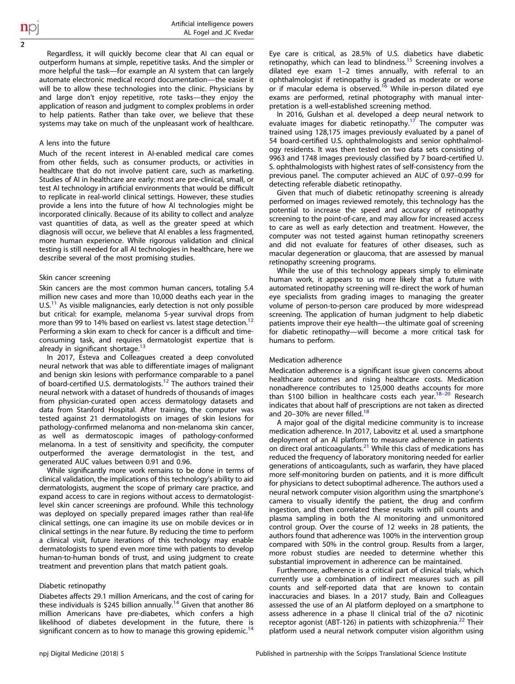Regardless, it will quickly become clear that AI can equal or outperform humans at simple, repetitive tasks. And the simpler or more helpful the task—for example an AI system that can largely automate electronic medical record documentation—the easier it will be to allow these technologies into the clinic. Physicians by and large don't enjoy repetitive, rote tasks—they enjoy the application of reason and judgment to complex problems in order to help patients. Rather than take over, we believe that these systems may take on much of the unpleasant work of healthcare.

## A lens into the future

2

Much of the recent interest in AI-enabled medical care comes from other fields, such as consumer products, or activities in healthcare that do not involve patient care, such as marketing. Studies of AI in healthcare are early: most are pre-clinical, small, or test AI technology in artificial environments that would be difficult to replicate in real-world clinical settings. However, these studies provide a lens into the future of how AI technologies might be incorporated clinically. Because of its ability to collect and analyze vast quantities of data, as well as the greater speed at which diagnosis will occur, we believe that AI enables a less fragmented, more human experience. While rigorous validation and clinical testing is still needed for all AI technologies in healthcare, here we describe several of the most promising studies.

#### Skin cancer screening

Skin cancers are the most common human cancers, totaling 5.4 million new cases and more than 10,000 deaths each year in the  $U.S.<sup>11</sup>$  $U.S.<sup>11</sup>$  $U.S.<sup>11</sup>$  As visible malignancies, early detection is not only possible but critical: for example, melanoma 5-year survival drops from more than 99 to 14% based on earliest vs. latest stage detection.<sup>[12](#page-2-0)</sup> Performing a skin exam to check for cancer is a difficult and timeconsuming task, and requires dermatologist expertize that is already in significant shortage.<sup>[13](#page-2-0)</sup>

In 2017, Esteva and Colleagues created a deep convoluted neural network that was able to differentiate images of malignant and benign skin lesions with performance comparable to a panel of board-certified U.S. dermatologists.<sup>[12](#page-2-0)</sup> The authors trained their neural network with a dataset of hundreds of thousands of images from physician-curated open access dermatology datasets and data from Stanford Hospital. After training, the computer was tested against 21 dermatologists on images of skin lesions for pathology-confirmed melanoma and non-melanoma skin cancer, as well as dermatoscopic images of pathology-conformed melanoma. In a test of sensitivity and specificity, the computer outperformed the average dermatologist in the test, and generated AUC values between 0.91 and 0.96.

While significantly more work remains to be done in terms of clinical validation, the implications of this technology's ability to aid dermatologists, augment the scope of primary care practice, and expand access to care in regions without access to dermatologistlevel skin cancer screenings are profound. While this technology was deployed on specially prepared images rather than real-life clinical settings, one can imagine its use on mobile devices or in clinical settings in the near future. By reducing the time to perform a clinical visit, future iterations of this technology may enable dermatologists to spend even more time with patients to develop human-to-human bonds of trust, and using judgment to create treatment and prevention plans that match patient goals.

## Diabetic retinopathy

Diabetes affects 29.1 million Americans, and the cost of caring for these individuals is \$245 billion annually.<sup>[14](#page-2-0)</sup> Given that another 86 million Americans have pre-diabetes, which confers a high likelihood of diabetes development in the future, there is significant concern as to how to manage this growing epidemic.<sup>[14](#page-2-0)</sup> Eye care is critical, as 28.5% of U.S. diabetics have diabetic retinopathy, which can lead to blindness.<sup>[15](#page-2-0)</sup> Screening involves a dilated eye exam 1–2 times annually, with referral to an ophthalmologist if retinopathy is graded as moderate or worse or if macular edema is observed.<sup>[16](#page-2-0)</sup> While in-person dilated eye exams are performed, retinal photography with manual interpretation is a well-established screening method.

In 2016, Gulshan et al. developed a deep neural network to evaluate images for diabetic retinopathy.<sup>[17](#page-2-0)</sup> The computer was trained using 128,175 images previously evaluated by a panel of 54 board-certified U.S. ophthalmologists and senior ophthalmology residents. It was then tested on two data sets consisting of 9963 and 1748 images previously classified by 7 board-certified U. S. ophthalmologists with highest rates of self-consistency from the previous panel. The computer achieved an AUC of 0.97–0.99 for detecting referable diabetic retinopathy.

Given that much of diabetic retinopathy screening is already performed on images reviewed remotely, this technology has the potential to increase the speed and accuracy of retinopathy screening to the point-of-care, and may allow for increased access to care as well as early detection and treatment. However, the computer was not tested against human retinopathy screeners and did not evaluate for features of other diseases, such as macular degeneration or glaucoma, that are assessed by manual retinopathy screening programs.

While the use of this technology appears simply to eliminate human work, it appears to us more likely that a future with automated retinopathy screening will re-direct the work of human eye specialists from grading images to managing the greater volume of person-to-person care produced by more widespread screening. The application of human judgment to help diabetic patients improve their eye health—the ultimate goal of screening for diabetic retinopathy—will become a more critical task for humans to perform.

#### Medication adherence

Medication adherence is a significant issue given concerns about healthcare outcomes and rising healthcare costs. Medication nonadherence contributes to 125,000 deaths accounts for more than \$100 billion in healthcare costs each year.<sup>[18](#page-2-0)–[20](#page-2-0)</sup> Research indicates that about half of prescriptions are not taken as directed and 20-30% are never filled. $18$ 

A major goal of the digital medicine community is to increase medication adherence. In 2017, Labovitz et al. used a smartphone deployment of an AI platform to measure adherence in patients on direct oral anticoagulants.<sup>[21](#page-3-0)</sup> While this class of medications has reduced the frequency of laboratory monitoring needed for earlier generations of anticoagulants, such as warfarin, they have placed more self-monitoring burden on patients, and it is more difficult for physicians to detect suboptimal adherence. The authors used a neural network computer vision algorithm using the smartphone's camera to visually identify the patient, the drug and confirm ingestion, and then correlated these results with pill counts and plasma sampling in both the AI monitoring and unmonitored control group. Over the course of 12 weeks in 28 patients, the authors found that adherence was 100% in the intervention group compared with 50% in the control group. Results from a larger, more robust studies are needed to determine whether this substantial improvement in adherence can be maintained.

Furthermore, adherence is a critical part of clinical trials, which currently use a combination of indirect measures such as pill counts and self-reported data that are known to contain inaccuracies and biases. In a 2017 study, Bain and Colleagues assessed the use of an AI platform deployed on a smartphone to assess adherence in a phase II clinical trial of the α7 nicotinic receptor agonist (ABT-126) in patients with schizophrenia. $^{22}$  $^{22}$  $^{22}$  Their platform used a neural network computer vision algorithm using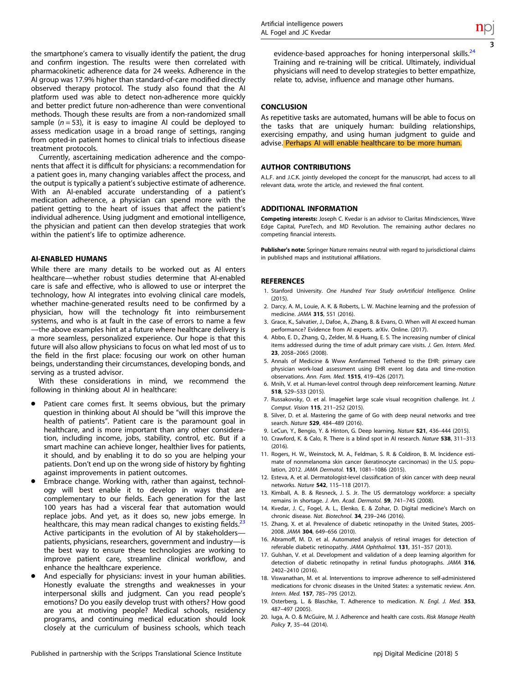<span id="page-2-0"></span>the smartphone's camera to visually identify the patient, the drug and confirm ingestion. The results were then correlated with pharmacokinetic adherence data for 24 weeks. Adherence in the AI group was 17.9% higher than standard-of-care modified directly observed therapy protocol. The study also found that the AI platform used was able to detect non-adherence more quickly and better predict future non-adherence than were conventional methods. Though these results are from a non-randomized small sample  $(n = 53)$ , it is easy to imagine AI could be deployed to assess medication usage in a broad range of settings, ranging from opted-in patient homes to clinical trials to infectious disease treatment protocols.

Currently, ascertaining medication adherence and the components that affect it is difficult for physicians: a recommendation for a patient goes in, many changing variables affect the process, and the output is typically a patient's subjective estimate of adherence. With an AI-enabled accurate understanding of a patient's medication adherence, a physician can spend more with the patient getting to the heart of issues that affect the patient's individual adherence. Using judgment and emotional intelligence, the physician and patient can then develop strategies that work within the patient's life to optimize adherence.

## AI-ENABLED HUMANS

While there are many details to be worked out as AI enters healthcare—whether robust studies determine that AI-enabled care is safe and effective, who is allowed to use or interpret the technology, how AI integrates into evolving clinical care models, whether machine-generated results need to be confirmed by a physician, how will the technology fit into reimbursement systems, and who is at fault in the case of errors to name a few —the above examples hint at a future where healthcare delivery is a more seamless, personalized experience. Our hope is that this future will also allow physicians to focus on what led most of us to the field in the first place: focusing our work on other human beings, understanding their circumstances, developing bonds, and serving as a trusted advisor.

With these considerations in mind, we recommend the following in thinking about AI in healthcare:

- Patient care comes first. It seems obvious, but the primary question in thinking about AI should be "will this improve the health of patients". Patient care is the paramount goal in healthcare, and is more important than any other consideration, including income, jobs, stability, control, etc. But if a smart machine can achieve longer, healthier lives for patients, it should, and by enabling it to do so you are helping your patients. Don't end up on the wrong side of history by fighting against improvements in patient outcomes.
- Embrace change. Working with, rather than against, technology will best enable it to develop in ways that are complementary to our fields. Each generation for the last 100 years has had a visceral fear that automation would replace jobs. And yet, as it does so, new jobs emerge. In healthcare, this may mean radical changes to existing fields.<sup>[23](#page-3-0)</sup> Active participants in the evolution of AI by stakeholders patients, physicians, researchers, government and industry—is the best way to ensure these technologies are working to improve patient care, streamline clinical workflow, and enhance the healthcare experience.
- And especially for physicians: invest in your human abilities. Honestly evaluate the strengths and weaknesses in your interpersonal skills and judgment. Can you read people's emotions? Do you easily develop trust with others? How good are you at motiving people? Medical schools, residency programs, and continuing medical education should look closely at the curriculum of business schools, which teach

evidence-based approaches for honing interpersonal skills.<sup>[24](#page-3-0)</sup> Training and re-training will be critical. Ultimately, individual physicians will need to develop strategies to better empathize, relate to, advise, influence and manage other humans.

#### **CONCLUSION**

As repetitive tasks are automated, humans will be able to focus on the tasks that are uniquely human: building relationships, exercising empathy, and using human judgment to guide and advise. Perhaps AI will enable healthcare to be more human.

#### AUTHOR CONTRIBUTIONS

A.L.F. and J.C.K. jointly developed the concept for the manuscript, had access to all relevant data, wrote the article, and reviewed the final content.

#### ADDITIONAL INFORMATION

Competing interests: Joseph C. Kvedar is an advisor to Claritas Mindsciences, Wave Edge Capital, PureTech, and MD Revolution. The remaining author declares no competing financial interests.

Publisher's note: Springer Nature remains neutral with regard to jurisdictional claims in published maps and institutional affiliations.

#### **REFERENCES**

- 1. Stanford University. One Hundred Year Study onArtificial Intelligence. Online (2015).
- 2. Darcy, A. M., Louie, A. K. & Roberts, L. W. Machine learning and the profession of medicine. JAMA 315, 551 (2016).
- 3. Grace, K., Salvatier, J., Dafoe, A., Zhang, B. & Evans, O. When will AI exceed human performance? Evidence from AI experts. arXiv. Online. (2017).
- 4. Abbo, E. D., Zhang, Q., Zelder, M. & Huang, E. S. The increasing number of clinical items addressed during the time of adult primary care visits. J. Gen. Intern. Med. 23, 2058–2065 (2008).
- 5. Annals of Medicine & Www Annfammed Tethered to the EHR: primary care physician work-load assessment using EHR event log data and time-motion observations. Ann. Fam. Med. 1515, 419–426 (2017).
- 6. Mnih, V. et al. Human-level control through deep reinforcement learning. Nature 518, 529–533 (2015).
- 7. Russakovsky, O. et al. ImageNet large scale visual recognition challenge. Int. J. Comput. Vision 115, 211–252 (2015).
- 8. Silver, D. et al. Mastering the game of Go with deep neural networks and tree search. Nature 529, 484–489 (2016).
- 9. LeCun, Y., Bengio, Y. & Hinton, G. Deep learning. Nature 521, 436–444 (2015).
- 10. Crawford, K. & Calo, R. There is a blind spot in AI research. Nature 538, 311–313 (2016).
- 11. Rogers, H. W., Weinstock, M. A., Feldman, S. R. & Coldiron, B. M. Incidence estimate of nonmelanoma skin cancer (keratinocyte carcinomas) in the U.S. population, 2012. JAMA Dermatol. 151, 1081–1086 (2015).
- 12. Esteva, A. et al. Dermatologist-level classification of skin cancer with deep neural networks. Nature 542, 115–118 (2017).
- 13. Kimball, A. B. & Resneck, J. S. Jr. The US dermatology workforce: a specialty remains in shortage. J. Am. Acad. Dermatol. 59, 741–745 (2008).
- 14. Kvedar, J. C., Fogel, A. L., Elenko, E. & Zohar, D. Digital medicine's March on chronic disease. Nat. Biotechnol. 34, 239–246 (2016).
- 15. Zhang, X. et al. Prevalence of diabetic retinopathy in the United States, 2005- 2008. JAMA 304, 649–656 (2010).
- 16. Abramoff, M. D. et al. Automated analysis of retinal images for detection of referable diabetic retinopathy. JAMA Ophthalmol. 131, 351–357 (2013).
- 17. Gulshan, V. et al. Development and validation of a deep learning algorithm for detection of diabetic retinopathy in retinal fundus photographs. JAMA 316, 2402–2410 (2016).
- 18. Viswanathan, M. et al. Interventions to improve adherence to self-administered medications for chronic diseases in the United States: a systematic review. Ann. Intern. Med. 157, 785–795 (2012).
- 19. Osterberg, L. & Blaschke, T. Adherence to medication. N. Engl. J. Med. 353, 487–497 (2005).
- 20. Iuga, A. O. & McGuire, M. J. Adherence and health care costs. Risk Manage Health Policy 7, 35–44 (2014).